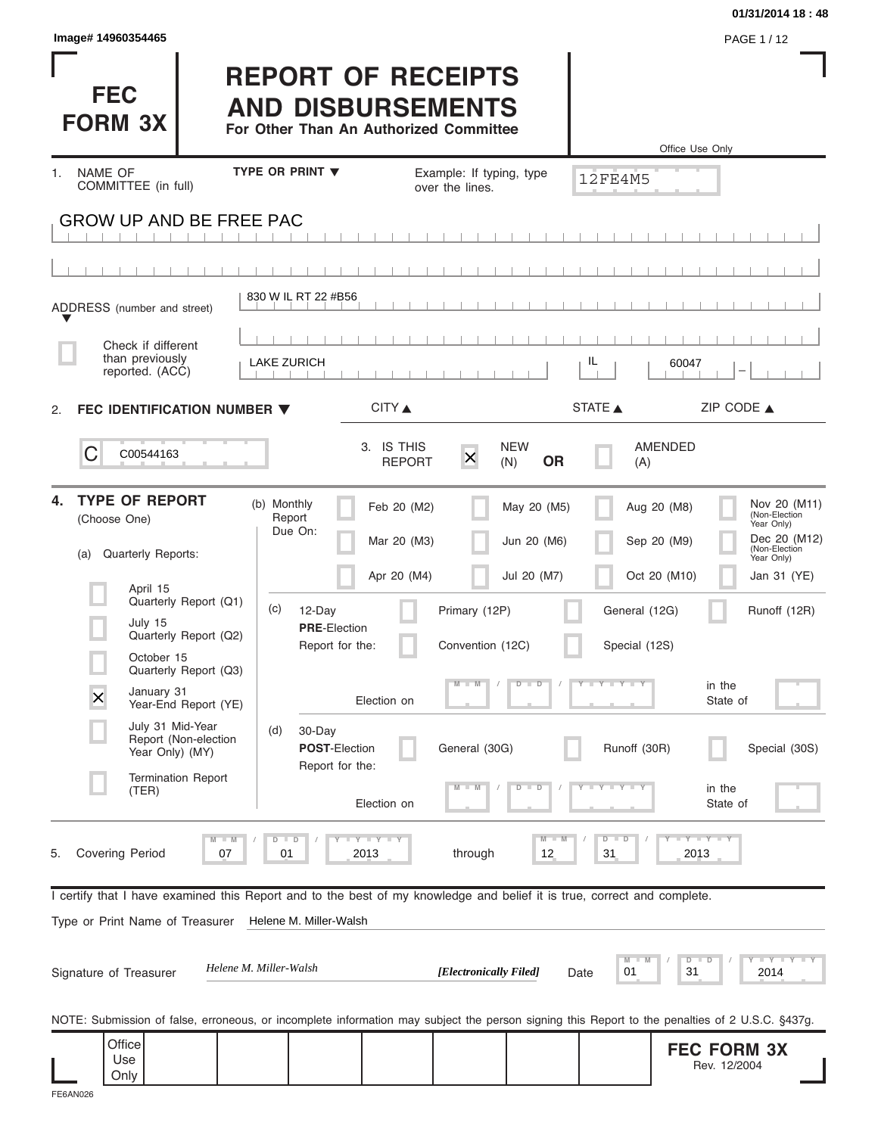|                                                                                                                                                |                                                                                                 |                                                        |                                   |                               | 01/31/2014 18:48                                                                                                                                  |
|------------------------------------------------------------------------------------------------------------------------------------------------|-------------------------------------------------------------------------------------------------|--------------------------------------------------------|-----------------------------------|-------------------------------|---------------------------------------------------------------------------------------------------------------------------------------------------|
| Image# 14960354465                                                                                                                             |                                                                                                 |                                                        |                                   |                               | PAGE 1/12                                                                                                                                         |
| <b>FEC</b><br><b>FORM 3X</b>                                                                                                                   | <b>REPORT OF RECEIPTS</b><br><b>AND DISBURSEMENTS</b><br>For Other Than An Authorized Committee |                                                        |                                   | Office Use Only               |                                                                                                                                                   |
| NAME OF<br>1.                                                                                                                                  | <b>TYPE OR PRINT ▼</b>                                                                          | Example: If typing, type                               |                                   |                               |                                                                                                                                                   |
| COMMITTEE (in full)                                                                                                                            |                                                                                                 | over the lines.                                        |                                   | <b>12FE4M5</b>                |                                                                                                                                                   |
| <b>GROW UP AND BE FREE PAC</b>                                                                                                                 |                                                                                                 |                                                        |                                   |                               |                                                                                                                                                   |
|                                                                                                                                                |                                                                                                 |                                                        |                                   |                               |                                                                                                                                                   |
| ADDRESS (number and street)                                                                                                                    | 830 W IL RT 22 #B56                                                                             |                                                        |                                   |                               |                                                                                                                                                   |
| Check if different                                                                                                                             |                                                                                                 |                                                        |                                   |                               |                                                                                                                                                   |
| than previously<br>reported. (ACC)                                                                                                             | <b>LAKE ZURICH</b>                                                                              |                                                        | IL                                | 60047                         |                                                                                                                                                   |
| FEC IDENTIFICATION NUMBER $\blacktriangledown$<br>2.                                                                                           |                                                                                                 | CITY ▲                                                 | STATE A                           |                               | ZIP CODE $\triangle$                                                                                                                              |
| C<br>C00544163                                                                                                                                 |                                                                                                 | 3. IS THIS<br>$\overline{\mathsf{x}}$<br><b>REPORT</b> | <b>NEW</b><br><b>OR</b><br>(N)    | AMENDED<br>(A)                |                                                                                                                                                   |
| <b>TYPE OF REPORT</b><br>4.<br>(Choose One)                                                                                                    | (b) Monthly<br>Report<br>Due On:                                                                | Feb 20 (M2)<br>Mar 20 (M3)                             | May 20 (M5)<br>Jun 20 (M6)        | Aug 20 (M8)<br>Sep 20 (M9)    | Nov 20 (M11)<br>(Non-Election<br>Year Only)<br>Dec 20 (M12)                                                                                       |
| <b>Quarterly Reports:</b><br>(a)                                                                                                               |                                                                                                 |                                                        |                                   |                               | (Non-Election<br>Year Only)                                                                                                                       |
| April 15<br>Quarterly Report (Q1)                                                                                                              | (c)<br>12-Day                                                                                   | Apr 20 (M4)                                            | Jul 20 (M7)                       | Oct 20 (M10)<br>General (12G) | Jan 31 (YE)<br>Runoff (12R)                                                                                                                       |
| July 15<br>Quarterly Report (Q2)                                                                                                               | <b>PRE-Election</b><br>Report for the:                                                          | Primary (12P)<br>Convention (12C)                      |                                   | Special (12S)                 |                                                                                                                                                   |
| October 15<br>Quarterly Report (Q3)                                                                                                            |                                                                                                 |                                                        | $\overline{\mathsf{D}}$<br>$\Box$ | $Y + Y + Y + Y$               |                                                                                                                                                   |
| January 31<br>X<br>Year-End Report (YE)                                                                                                        |                                                                                                 | Election on                                            |                                   |                               | in the<br>State of                                                                                                                                |
| July 31 Mid-Year<br>Report (Non-election<br>Year Only) (MY)                                                                                    | (d)<br>30-Day<br>POST-Election<br>Report for the:                                               | General (30G)                                          |                                   | Runoff (30R)                  | Special (30S)                                                                                                                                     |
| <b>Termination Report</b><br>(TER)                                                                                                             |                                                                                                 | Election on                                            | D<br>D                            |                               | in the<br>State of                                                                                                                                |
| $M - M$<br><b>Covering Period</b><br>07<br>5.                                                                                                  | $D$ $D$<br><b>LYLYLY</b><br>01<br>2013                                                          | through                                                | $M - M$<br>12                     | $D$ $D$<br>31<br>2013         | $-Y - Y - Y$                                                                                                                                      |
| I certify that I have examined this Report and to the best of my knowledge and belief it is true, correct and complete.                        |                                                                                                 |                                                        |                                   |                               |                                                                                                                                                   |
| Type or Print Name of Treasurer                                                                                                                | Helene M. Miller-Walsh                                                                          |                                                        |                                   |                               |                                                                                                                                                   |
| Signature of Treasurer                                                                                                                         | Helene M. Miller-Walsh                                                                          | [Electronically Filed]                                 | Date                              | M<br>D<br>01<br>31            | $    +$ $ +$ $ +$ $ +$ $ +$ $ +$ $ +$ $ +$ $ +$ $ +$ $ +$ $ +$ $ +$ $ +$ $ +$ $ +$ $ +$ $ +$ $ +$ $ +$ $ +$ $ +$ $ +$ $ +$ $ +$ $ +$<br>D<br>2014 |
| NOTE: Submission of false, erroneous, or incomplete information may subject the person signing this Report to the penalties of 2 U.S.C. §437g. |                                                                                                 |                                                        |                                   |                               |                                                                                                                                                   |
| Office<br>Use                                                                                                                                  |                                                                                                 |                                                        |                                   |                               | <b>FEC FORM 3X</b><br>Rev. 12/2004                                                                                                                |
| Only                                                                                                                                           |                                                                                                 |                                                        |                                   |                               |                                                                                                                                                   |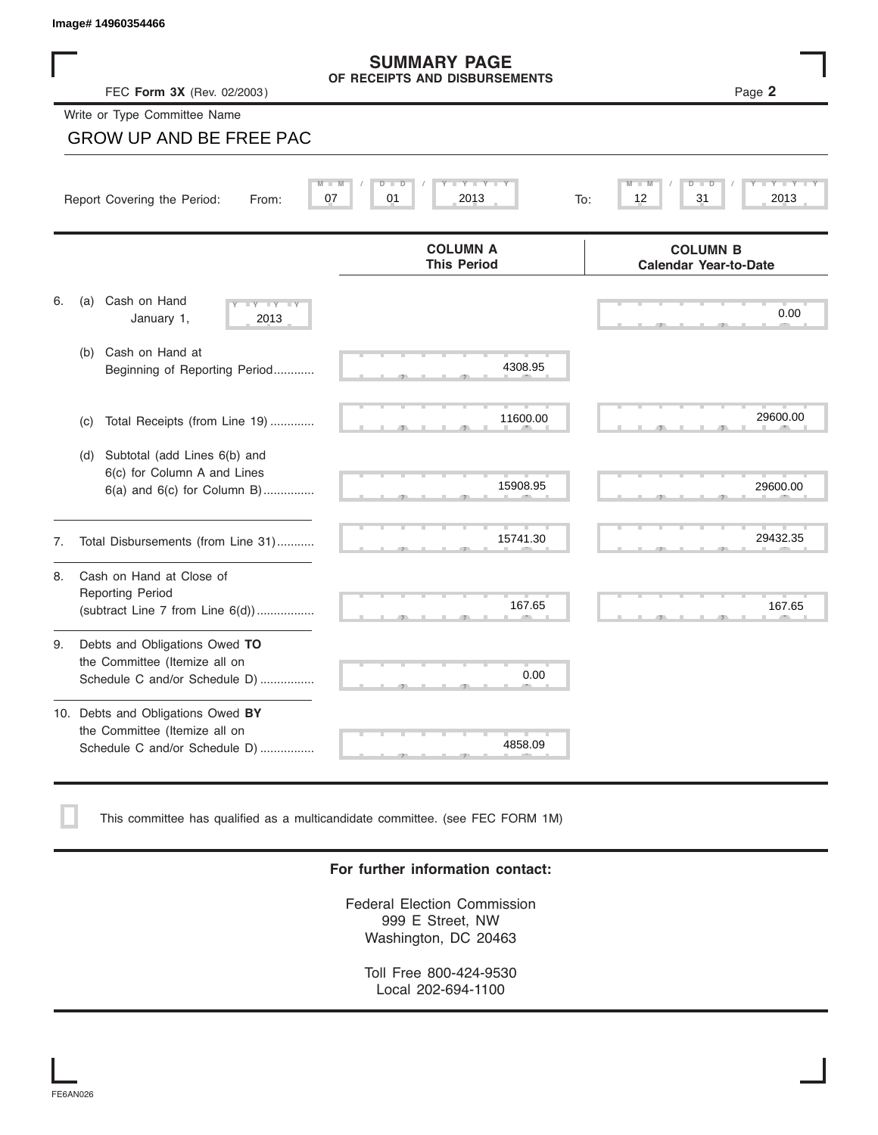### **SUMMARY PAGE OF RECEIPTS AND DISBURSEMENTS**

|    | Image# 14960354466                                                                                    |                                                      |                                                 |
|----|-------------------------------------------------------------------------------------------------------|------------------------------------------------------|-------------------------------------------------|
|    | FEC Form 3X (Rev. 02/2003)                                                                            | <b>SUMMARY PAGE</b><br>OF RECEIPTS AND DISBURSEMENTS | Page 2                                          |
|    | Write or Type Committee Name                                                                          |                                                      |                                                 |
|    | <b>GROW UP AND BE FREE PAC</b>                                                                        |                                                      |                                                 |
|    | Report Covering the Period:<br>From:                                                                  | $Y - Y - I$<br>D<br>D<br>07<br>01<br>2013<br>To:     | 12<br>31<br>2013                                |
|    |                                                                                                       | <b>COLUMN A</b><br><b>This Period</b>                | <b>COLUMN B</b><br><b>Calendar Year-to-Date</b> |
| 6. | Cash on Hand<br>(a)<br>$-1$ Y $-1$ Y<br>January 1,<br>2013                                            |                                                      | 0.00                                            |
|    | Cash on Hand at<br>(b)<br>Beginning of Reporting Period                                               | 4308.95                                              |                                                 |
|    | Total Receipts (from Line 19)<br>(c)                                                                  | 11600.00                                             | 29600.00                                        |
|    | Subtotal (add Lines 6(b) and<br>(d)<br>6(c) for Column A and Lines<br>$6(a)$ and $6(c)$ for Column B) | 15908.95                                             | 29600.00                                        |
| 7. | Total Disbursements (from Line 31)                                                                    | 15741.30                                             | 29432.35                                        |
| 8. | Cash on Hand at Close of<br><b>Reporting Period</b><br>(subtract Line $7$ from Line $6(d)$ )          | 167.65                                               | 167.65                                          |
| 9. | Debts and Obligations Owed TO<br>the Committee (Itemize all on<br>Schedule C and/or Schedule D)       | 0.00                                                 |                                                 |
|    | 10. Debts and Obligations Owed BY<br>the Committee (Itemize all on<br>Schedule C and/or Schedule D)   | 4858.09                                              |                                                 |

This committee has qualified as a multicandidate committee. (see FEC FORM 1M)

## **For further information contact:**

Federal Election Commission 999 E Street, NW Washington, DC 20463

Toll Free 800-424-9530 Local 202-694-1100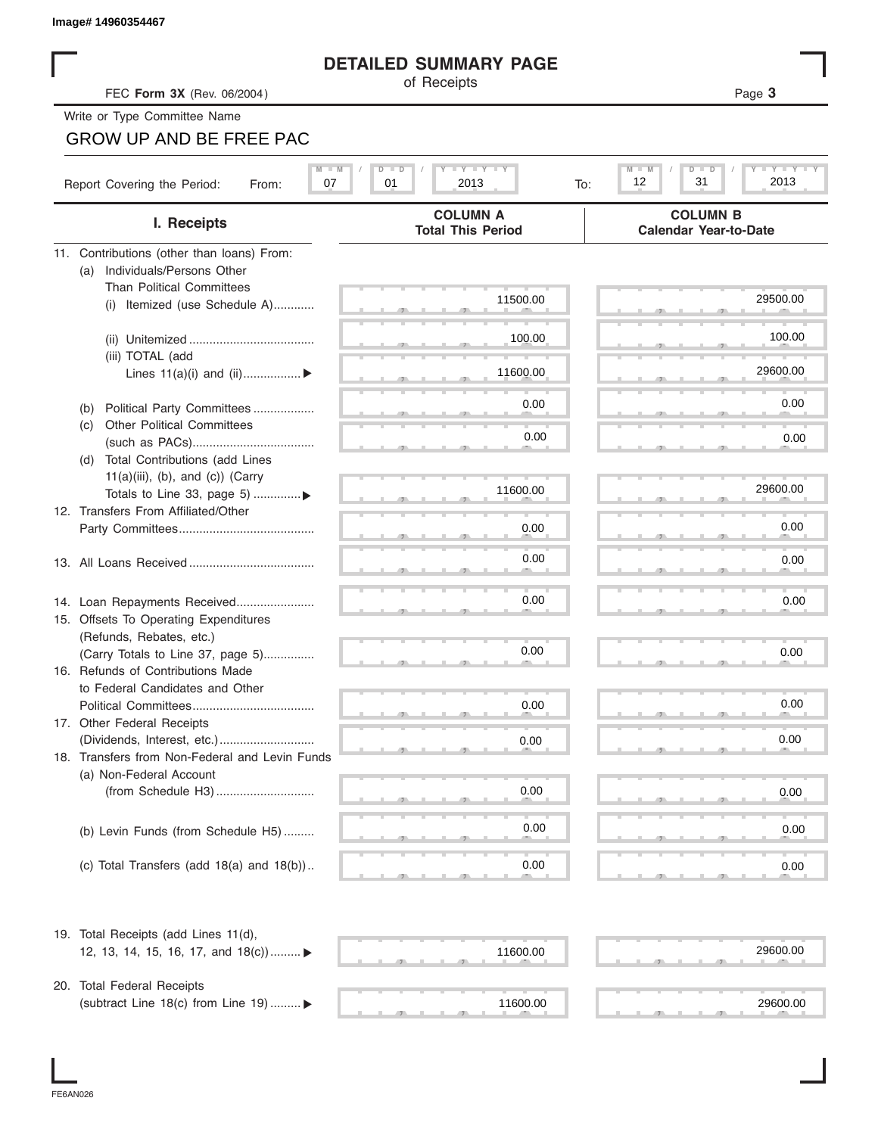| Image# 14960354467                                                        |                                                                                  |                                                                                                                                 |
|---------------------------------------------------------------------------|----------------------------------------------------------------------------------|---------------------------------------------------------------------------------------------------------------------------------|
|                                                                           | <b>DETAILED SUMMARY PAGE</b>                                                     |                                                                                                                                 |
| FEC Form 3X (Rev. 06/2004)                                                | of Receipts                                                                      | Page 3                                                                                                                          |
| Write or Type Committee Name                                              |                                                                                  |                                                                                                                                 |
| <b>GROW UP AND BE FREE PAC</b>                                            |                                                                                  |                                                                                                                                 |
| Report Covering the Period:<br>From:                                      | $I - Y - I - Y - I - Y$<br>$M - M$<br>$D$ $\Box$<br>т<br>07<br>01<br>2013<br>To: | $\mathbf{I} = \mathbf{Y} - \mathbf{I} - \mathbf{Y} - \mathbf{I}$<br>$M - M$<br>D<br>$\overline{\mathsf{D}}$<br>12<br>31<br>2013 |
| I. Receipts                                                               | <b>COLUMN A</b><br><b>Total This Period</b>                                      | <b>COLUMN B</b><br><b>Calendar Year-to-Date</b>                                                                                 |
| 11. Contributions (other than loans) From:                                |                                                                                  |                                                                                                                                 |
| Individuals/Persons Other<br>(a)                                          |                                                                                  |                                                                                                                                 |
| <b>Than Political Committees</b>                                          | 11500.00                                                                         | 29500.00                                                                                                                        |
| Itemized (use Schedule A)<br>(i)                                          |                                                                                  |                                                                                                                                 |
|                                                                           | 100.00                                                                           | 100.00                                                                                                                          |
| (iii) TOTAL (add                                                          |                                                                                  |                                                                                                                                 |
| Lines $11(a)(i)$ and $(ii)$                                               | 11600.00                                                                         | 29600.00                                                                                                                        |
|                                                                           |                                                                                  |                                                                                                                                 |
| Political Party Committees<br>(b)                                         | 0.00                                                                             | 0.00                                                                                                                            |
| <b>Other Political Committees</b><br>(c)                                  | 0.00                                                                             | 0.00                                                                                                                            |
| Total Contributions (add Lines<br>(d)                                     |                                                                                  |                                                                                                                                 |
| $11(a)(iii)$ , (b), and (c)) (Carry                                       |                                                                                  |                                                                                                                                 |
| Totals to Line 33, page 5) ▶                                              | 11600.00                                                                         | 29600.00                                                                                                                        |
| 12. Transfers From Affiliated/Other                                       |                                                                                  |                                                                                                                                 |
|                                                                           | 0.00                                                                             | 0.00                                                                                                                            |
|                                                                           | 0.00                                                                             | 0.00                                                                                                                            |
|                                                                           |                                                                                  |                                                                                                                                 |
|                                                                           | 0.00                                                                             |                                                                                                                                 |
| 14. Loan Repayments Received                                              |                                                                                  | 0.00                                                                                                                            |
| 15. Offsets To Operating Expenditures<br>(Refunds, Rebates, etc.)         |                                                                                  |                                                                                                                                 |
| (Carry Totals to Line 37, page 5)                                         | 0.00                                                                             | 0.00                                                                                                                            |
| 16. Refunds of Contributions Made                                         |                                                                                  |                                                                                                                                 |
| to Federal Candidates and Other                                           |                                                                                  |                                                                                                                                 |
| Political Committees                                                      | 0.00                                                                             | 0.00                                                                                                                            |
| 17. Other Federal Receipts                                                |                                                                                  |                                                                                                                                 |
| (Dividends, Interest, etc.)                                               | 0.00                                                                             | 0.00                                                                                                                            |
| 18. Transfers from Non-Federal and Levin Funds<br>(a) Non-Federal Account |                                                                                  |                                                                                                                                 |
|                                                                           | 0.00                                                                             | 0.00                                                                                                                            |
|                                                                           |                                                                                  |                                                                                                                                 |
| (b) Levin Funds (from Schedule H5)                                        | 0.00                                                                             | 0.00                                                                                                                            |
|                                                                           |                                                                                  |                                                                                                                                 |
| (c) Total Transfers (add $18(a)$ and $18(b)$ )                            | 0.00                                                                             | 0.00                                                                                                                            |
|                                                                           |                                                                                  |                                                                                                                                 |
| 19. Total Receipts (add Lines 11(d),                                      |                                                                                  |                                                                                                                                 |
| 12, 13, 14, 15, 16, 17, and 18(c)) ▶                                      | 11600.00                                                                         | 29600.00                                                                                                                        |
| 20. Total Federal Receipts                                                |                                                                                  |                                                                                                                                 |
| (subtract Line 18(c) from Line 19)  ▶                                     | 11600.00                                                                         | 29600.00                                                                                                                        |
|                                                                           |                                                                                  |                                                                                                                                 |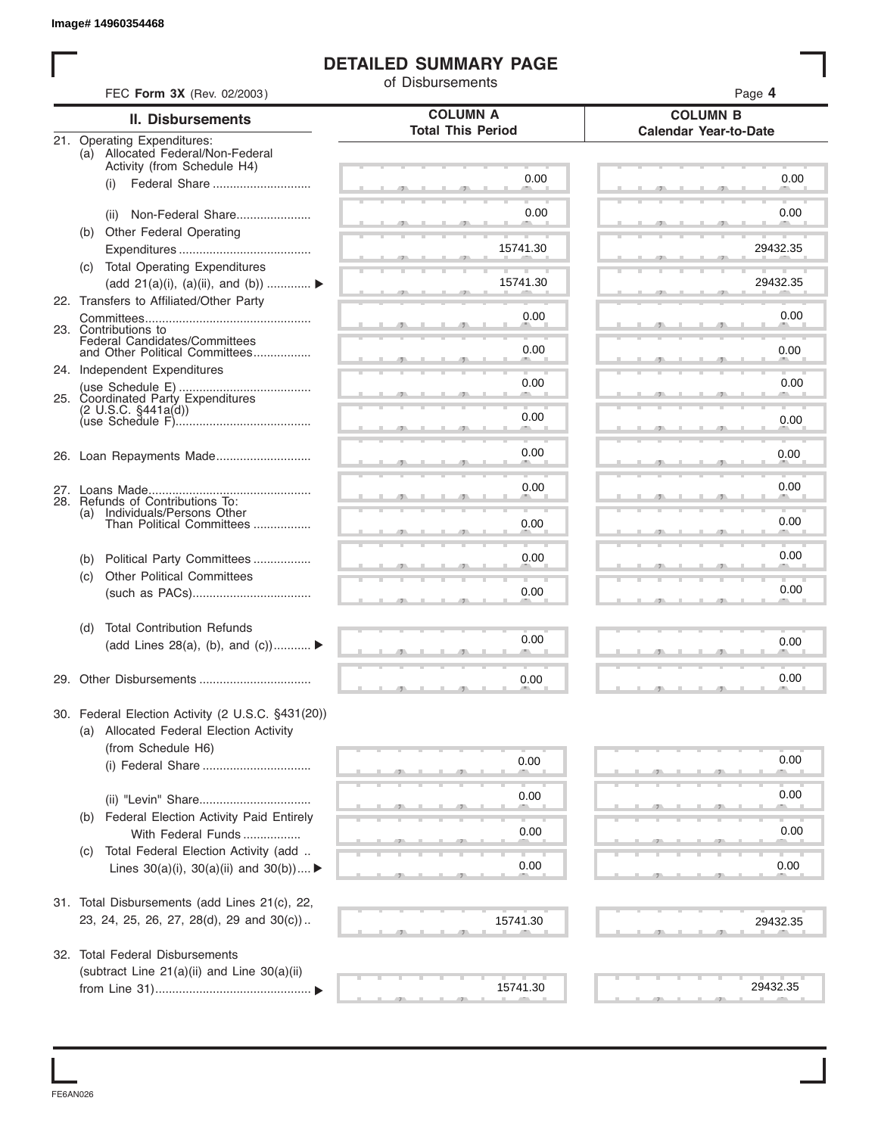# **DETAILED SUMMARY PAGE**

|     |                                                                  | of Disbursements         |                              |
|-----|------------------------------------------------------------------|--------------------------|------------------------------|
|     | FEC Form 3X (Rev. 02/2003)                                       | <b>COLUMN A</b>          | Page 4<br><b>COLUMN B</b>    |
|     | <b>II. Disbursements</b>                                         | <b>Total This Period</b> | <b>Calendar Year-to-Date</b> |
|     | 21. Operating Expenditures:<br>(a) Allocated Federal/Non-Federal |                          |                              |
|     | Activity (from Schedule H4)                                      | 0.00                     | 0.00                         |
|     | Federal Share<br>(i)                                             |                          |                              |
|     | Non-Federal Share<br>(ii)                                        | 0.00                     | 0.00                         |
|     | (b) Other Federal Operating                                      |                          |                              |
|     |                                                                  | 15741.30                 | 29432.35                     |
|     | (c) Total Operating Expenditures                                 |                          |                              |
|     | (add 21(a)(i), (a)(ii), and (b))                                 | 15741.30                 | 29432.35                     |
|     | 22. Transfers to Affiliated/Other Party                          | 0.00                     | 0.00                         |
|     | 23. Contributions to                                             |                          |                              |
|     | Federal Candidates/Committees<br>and Other Political Committees  | 0.00                     | 0.00                         |
|     | 24. Independent Expenditures                                     |                          |                              |
|     |                                                                  | 0.00                     | 0.00                         |
|     | 25. Coordinated Party Expenditures<br>$(2 \cup S.C. \S441a(d))$  |                          |                              |
|     |                                                                  | 0.00                     | 0.00                         |
|     |                                                                  | 0.00                     | 0.00                         |
|     |                                                                  |                          |                              |
|     |                                                                  | 0.00                     | 0.00                         |
| (a) | 28. Refunds of Contributions To:<br>Individuals/Persons Other    |                          |                              |
|     | Than Political Committees                                        | 0.00                     | 0.00                         |
|     |                                                                  |                          |                              |
| (b) | Political Party Committees                                       | 0.00                     | 0.00                         |
| (c) | <b>Other Political Committees</b>                                | 0.00                     | 0.00                         |
|     |                                                                  |                          |                              |
| (d) | <b>Total Contribution Refunds</b>                                |                          |                              |
|     | (add Lines 28(a), (b), and $(c)$ )                               | 0.00                     | 0.00                         |
|     |                                                                  |                          | 0.00                         |
|     |                                                                  | 0.00                     |                              |
|     | 30. Federal Election Activity (2 U.S.C. §431(20))                |                          |                              |
|     | (a) Allocated Federal Election Activity                          |                          |                              |
|     | (from Schedule H6)                                               | 0.00                     | 0.00                         |
|     | (i) Federal Share                                                |                          |                              |
|     |                                                                  | 0.00                     | 0.00                         |
| (b) | Federal Election Activity Paid Entirely                          |                          |                              |
|     | With Federal Funds                                               | 0.00                     | 0.00                         |
| (C) | Total Federal Election Activity (add                             |                          |                              |
|     | Lines $30(a)(i)$ , $30(a)(ii)$ and $30(b))$                      | 0.00                     | 0.00                         |
|     | 31. Total Disbursements (add Lines 21(c), 22,                    |                          |                              |
|     | 23, 24, 25, 26, 27, 28(d), 29 and 30(c))                         | 15741.30                 | 29432.35                     |
|     |                                                                  |                          |                              |
|     | 32. Total Federal Disbursements                                  |                          |                              |
|     | (subtract Line 21(a)(ii) and Line 30(a)(ii)                      |                          |                              |
|     |                                                                  | 15741.30                 | 29432.35                     |

FE6AN026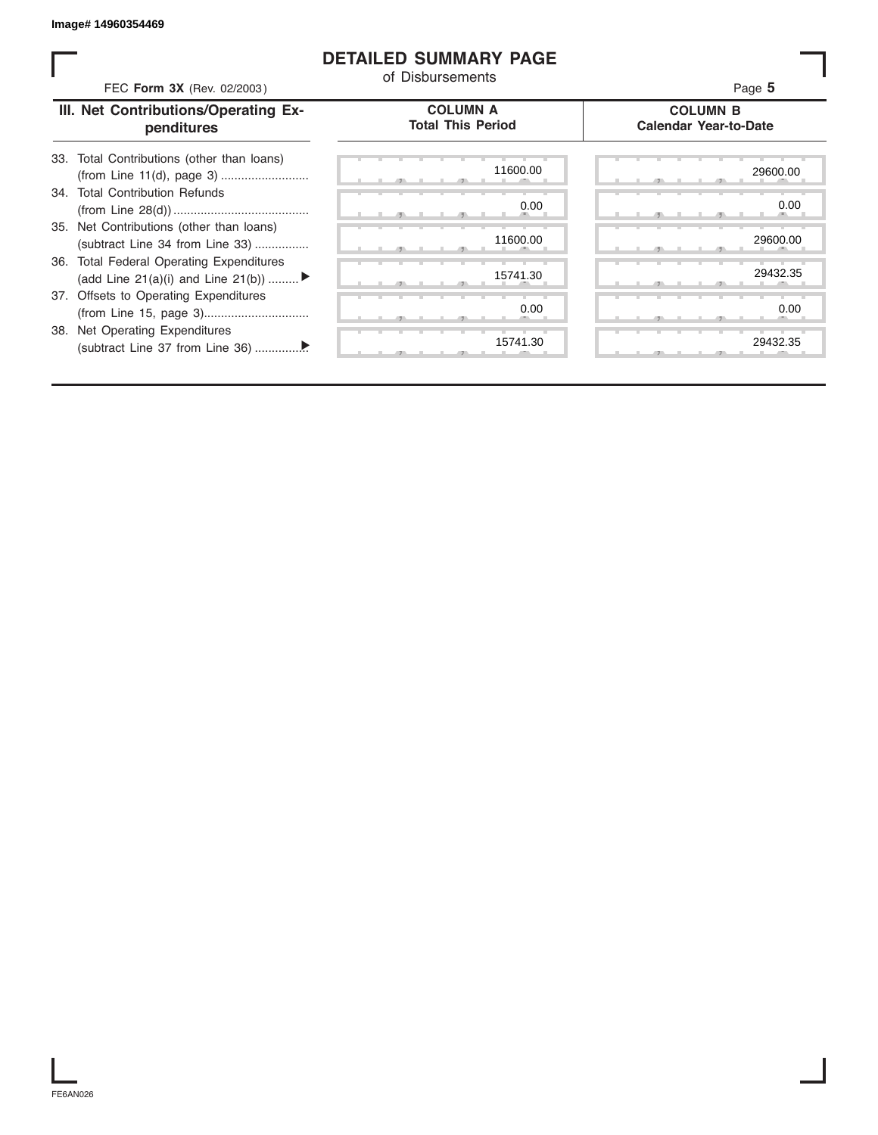## **DETAILED SUMMARY PAGE**

| FEC Form 3X (Rev. 02/2003)                                                               | <b>DETAILED SUMMARY PAGE</b><br>of Disbursements | Page 5                                          |
|------------------------------------------------------------------------------------------|--------------------------------------------------|-------------------------------------------------|
| III. Net Contributions/Operating Ex-<br>penditures                                       | <b>COLUMN A</b><br><b>Total This Period</b>      | <b>COLUMN B</b><br><b>Calendar Year-to-Date</b> |
| Total Contributions (other than loans)<br>33.                                            | 11600.00                                         | 29600.00                                        |
| 34. Total Contribution Refunds                                                           | 0.00<br>- 45                                     | 0.00                                            |
| 35. Net Contributions (other than loans)<br>(subtract Line 34 from Line 33)              | 11600.00                                         | 29600.00                                        |
| <b>Total Federal Operating Expenditures</b><br>36.<br>(add Line 21(a)(i) and Line 21(b)) | 15741.30                                         | 29432.35                                        |
| 37. Offsets to Operating Expenditures                                                    | 0.00                                             | 0.00                                            |
| 38. Net Operating Expenditures                                                           | 15741.30                                         | 29432.35                                        |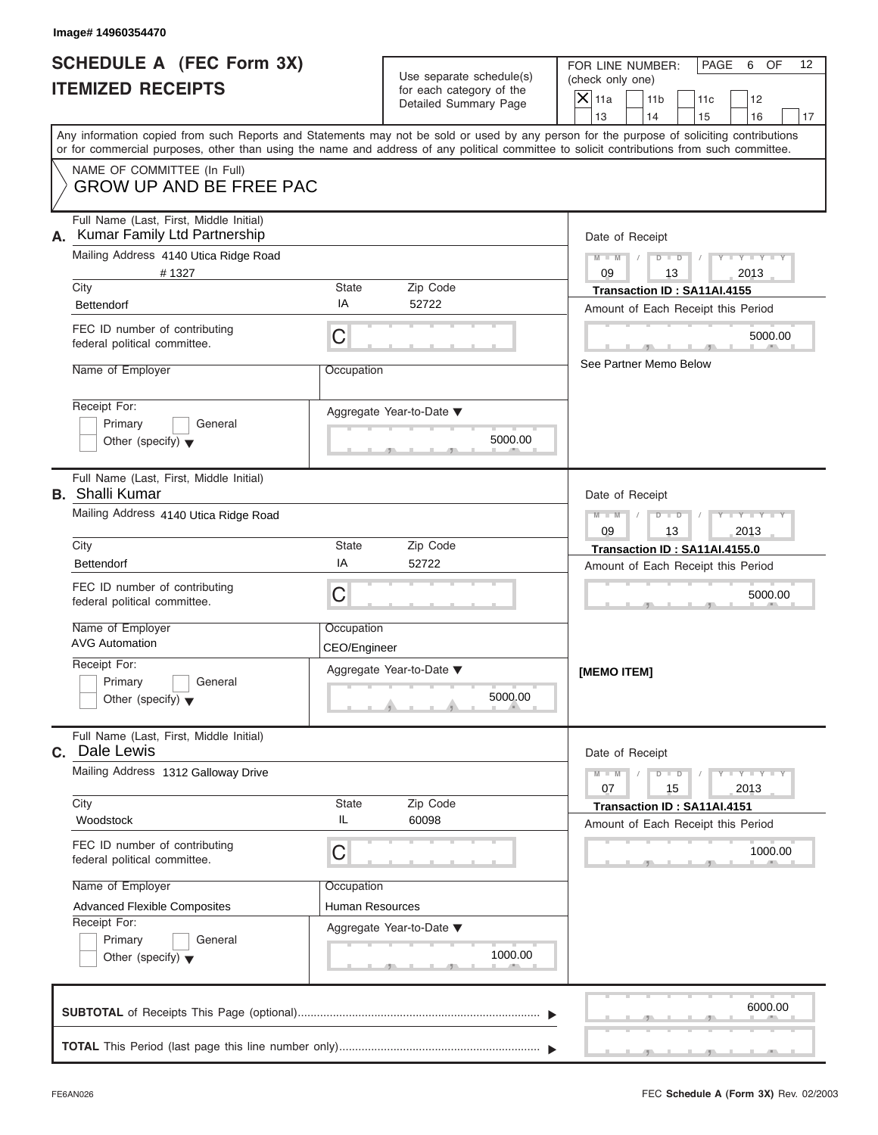### **Image# 14960354470**

|                          | <b>SCHEDULE A (FEC Form 3X)</b> |
|--------------------------|---------------------------------|
| <b>ITEMIZED RECEIPTS</b> |                                 |

| SCHEDULE A (FEC Form 3X)                                                                                                                   |                            | Use separate schedule(s)                                                  | FOR LINE NUMBER:<br>PAGE<br>OF<br>12<br>6<br>(check only one)                                                                             |
|--------------------------------------------------------------------------------------------------------------------------------------------|----------------------------|---------------------------------------------------------------------------|-------------------------------------------------------------------------------------------------------------------------------------------|
| <b>ITEMIZED RECEIPTS</b>                                                                                                                   |                            | for each category of the<br>Detailed Summary Page                         | $\overline{X}$ 11a<br>11 <sub>b</sub><br>12<br>11c<br>13<br>14<br>15<br>16<br>17                                                          |
| or for commercial purposes, other than using the name and address of any political committee to solicit contributions from such committee. |                            |                                                                           | Any information copied from such Reports and Statements may not be sold or used by any person for the purpose of soliciting contributions |
| NAME OF COMMITTEE (In Full)<br><b>GROW UP AND BE FREE PAC</b>                                                                              |                            |                                                                           |                                                                                                                                           |
| Full Name (Last, First, Middle Initial)<br>Kumar Family Ltd Partnership                                                                    |                            |                                                                           | Date of Receipt                                                                                                                           |
| Mailing Address 4140 Utica Ridge Road<br>#1327<br>City                                                                                     | State                      | Zip Code                                                                  | $M - M$ /<br>$D$ $D$<br>$Y = Y + Y + Y$<br>09<br>13<br>2013<br>Transaction ID: SA11AI.4155                                                |
| <b>Bettendorf</b>                                                                                                                          | IA                         | 52722                                                                     | Amount of Each Receipt this Period                                                                                                        |
| FEC ID number of contributing<br>federal political committee.                                                                              | C                          |                                                                           | 5000.00<br>m.<br><b>Contract Contract</b>                                                                                                 |
| Name of Employer                                                                                                                           | Occupation                 |                                                                           | See Partner Memo Below                                                                                                                    |
| Receipt For:<br>Primary<br>General<br>Other (specify) $\blacktriangledown$                                                                 |                            | Aggregate Year-to-Date ▼<br>5000.00                                       |                                                                                                                                           |
| Full Name (Last, First, Middle Initial)                                                                                                    |                            | $-1$<br>$\mathbf{1}$ and $\mathbf{1}$ and $\mathbf{1}$                    |                                                                                                                                           |
| <b>B.</b> Shalli Kumar<br>Mailing Address 4140 Utica Ridge Road                                                                            |                            |                                                                           | Date of Receipt<br>$M - M$<br>$D - I - D$<br>$-Y - Y - Y$                                                                                 |
| City                                                                                                                                       | <b>State</b>               | Zip Code                                                                  | 09<br>13<br>2013<br>Transaction ID: SA11AI.4155.0                                                                                         |
| <b>Bettendorf</b>                                                                                                                          | ΙA                         | 52722                                                                     | Amount of Each Receipt this Period                                                                                                        |
| FEC ID number of contributing<br>federal political committee.                                                                              | C                          |                                                                           | 5000.00                                                                                                                                   |
| Name of Employer<br><b>AVG Automation</b>                                                                                                  | Occupation<br>CEO/Engineer |                                                                           |                                                                                                                                           |
| Receipt For:<br>Primary<br>General<br>Other (specify) $\blacktriangledown$                                                                 |                            | Aggregate Year-to-Date ▼<br>5000.00<br><u>in a A</u><br><b>Contractor</b> | [MEMO ITEM]                                                                                                                               |
| Full Name (Last, First, Middle Initial)<br>Dale Lewis<br>$\mathbf{C}$ .                                                                    |                            |                                                                           | Date of Receipt                                                                                                                           |
| Mailing Address 1312 Galloway Drive                                                                                                        |                            |                                                                           | $M - M$<br>$D$ $D$<br>$T - Y = Y - T Y$<br>15<br>07<br>2013                                                                               |
| City<br>Woodstock                                                                                                                          | <b>State</b><br>IL         | Zip Code<br>60098                                                         | Transaction ID: SA11AI.4151<br>Amount of Each Receipt this Period                                                                         |
| FEC ID number of contributing<br>federal political committee.                                                                              | C                          |                                                                           | 1000.00                                                                                                                                   |
| Name of Employer                                                                                                                           | Occupation                 |                                                                           |                                                                                                                                           |
| <b>Advanced Flexible Composites</b><br>Receipt For:                                                                                        | <b>Human Resources</b>     |                                                                           |                                                                                                                                           |
| Primary<br>General<br>Other (specify) $\blacktriangledown$                                                                                 |                            | Aggregate Year-to-Date ▼<br>1000.00<br>$-9$                               |                                                                                                                                           |
|                                                                                                                                            |                            |                                                                           | 6000.00                                                                                                                                   |
|                                                                                                                                            |                            |                                                                           |                                                                                                                                           |

FEC **Schedule A (Form 3X)** Rev. 02/2003

J.

S S S , , .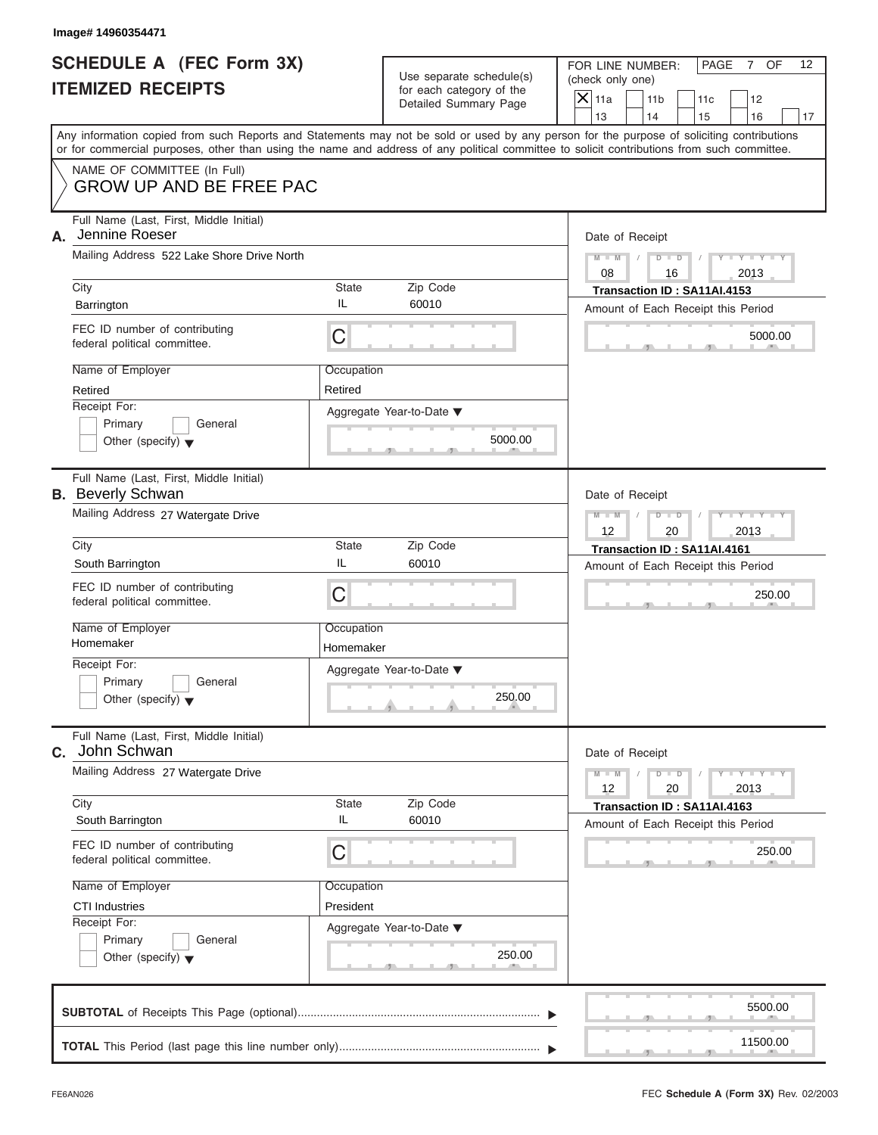### **Image# 14960354471**

|                          | SCHEDULE A (FEC Form 3X) |
|--------------------------|--------------------------|
| <b>ITEMIZED RECEIPTS</b> |                          |

FOR LINE NUMBER: PAGE 7 OF<br>(check only one)

| SCHEDULE A (FEC Form 3X)<br><b>ITEMIZED RECEIPTS</b>                |                       | Use separate schedule(s)<br>for each category of the | FOR LINE NUMBER:<br>PAGE<br>OF<br>12<br>$7\phantom{.0}$<br>(check only one)<br>$\overline{\mathsf{x}}$<br>11a<br>11 <sub>b</sub><br>12<br>11c                                                                                                                                           |
|---------------------------------------------------------------------|-----------------------|------------------------------------------------------|-----------------------------------------------------------------------------------------------------------------------------------------------------------------------------------------------------------------------------------------------------------------------------------------|
|                                                                     |                       | Detailed Summary Page                                | 13<br>14<br>15<br>16<br>17                                                                                                                                                                                                                                                              |
|                                                                     |                       |                                                      | Any information copied from such Reports and Statements may not be sold or used by any person for the purpose of soliciting contributions<br>or for commercial purposes, other than using the name and address of any political committee to solicit contributions from such committee. |
| NAME OF COMMITTEE (In Full)<br><b>GROW UP AND BE FREE PAC</b>       |                       |                                                      |                                                                                                                                                                                                                                                                                         |
| Full Name (Last, First, Middle Initial)<br>Jennine Roeser<br>А.     |                       |                                                      | Date of Receipt                                                                                                                                                                                                                                                                         |
| Mailing Address 522 Lake Shore Drive North                          |                       |                                                      | $-1$ $-1$<br>$M - M$<br>Y<br>D<br>$\overline{\phantom{a}}$<br>08<br>16<br>2013                                                                                                                                                                                                          |
| City<br>Barrington                                                  | State<br>IL           | Zip Code<br>60010                                    | Transaction ID: SA11AI.4153<br>Amount of Each Receipt this Period                                                                                                                                                                                                                       |
| FEC ID number of contributing<br>federal political committee.       | C                     |                                                      | 5000.00                                                                                                                                                                                                                                                                                 |
| Name of Employer<br>Retired                                         | Occupation<br>Retired |                                                      |                                                                                                                                                                                                                                                                                         |
| Receipt For:<br>Primary<br>General                                  |                       | Aggregate Year-to-Date ▼                             |                                                                                                                                                                                                                                                                                         |
| Other (specify) $\blacktriangledown$                                |                       | 5000.00                                              |                                                                                                                                                                                                                                                                                         |
| Full Name (Last, First, Middle Initial)<br><b>B.</b> Beverly Schwan |                       |                                                      | Date of Receipt                                                                                                                                                                                                                                                                         |
| Mailing Address 27 Watergate Drive                                  |                       |                                                      | $M - M$<br>D<br>$\Box$<br>12<br>20<br>2013                                                                                                                                                                                                                                              |
| City                                                                | <b>State</b>          | Zip Code                                             | Transaction ID: SA11AI.4161                                                                                                                                                                                                                                                             |
| South Barrington                                                    | IL                    | 60010                                                | Amount of Each Receipt this Period                                                                                                                                                                                                                                                      |
| FEC ID number of contributing<br>federal political committee.       | C                     |                                                      | 250.00                                                                                                                                                                                                                                                                                  |
| Name of Employer<br>Homemaker                                       | Occupation            |                                                      |                                                                                                                                                                                                                                                                                         |
| Receipt For:                                                        | Homemaker             |                                                      |                                                                                                                                                                                                                                                                                         |
| Primary<br>General                                                  |                       | Aggregate Year-to-Date ▼                             |                                                                                                                                                                                                                                                                                         |
| Other (specify) $\blacktriangledown$                                |                       | 250.00<br>$\theta$ and the set of $\theta$           |                                                                                                                                                                                                                                                                                         |
| Full Name (Last, First, Middle Initial)<br>C. John Schwan           |                       |                                                      | Date of Receipt                                                                                                                                                                                                                                                                         |
| Mailing Address 27 Watergate Drive                                  |                       |                                                      | $Y = Y$<br>$M - M$<br>D<br>$\overline{\phantom{a}}$<br>12<br>20<br>2013                                                                                                                                                                                                                 |
| City                                                                | <b>State</b>          | Zip Code                                             | Transaction ID: SA11AI.4163                                                                                                                                                                                                                                                             |
| South Barrington                                                    | IL                    | 60010                                                | Amount of Each Receipt this Period                                                                                                                                                                                                                                                      |
| FEC ID number of contributing<br>federal political committee.       | C                     |                                                      | 250.00                                                                                                                                                                                                                                                                                  |
| Name of Employer                                                    | Occupation            |                                                      |                                                                                                                                                                                                                                                                                         |
| <b>CTI Industries</b>                                               | President             |                                                      |                                                                                                                                                                                                                                                                                         |
| Receipt For:<br>Primary<br>General                                  |                       | Aggregate Year-to-Date ▼                             |                                                                                                                                                                                                                                                                                         |
| Other (specify) $\blacktriangledown$                                |                       | 250.00                                               |                                                                                                                                                                                                                                                                                         |
|                                                                     |                       |                                                      | 5500.00                                                                                                                                                                                                                                                                                 |
| This Pariod (last nage this line number only)                       |                       |                                                      | 11500.00                                                                                                                                                                                                                                                                                |

|  |  |  |  | __________<br>11500.00 |  |
|--|--|--|--|------------------------|--|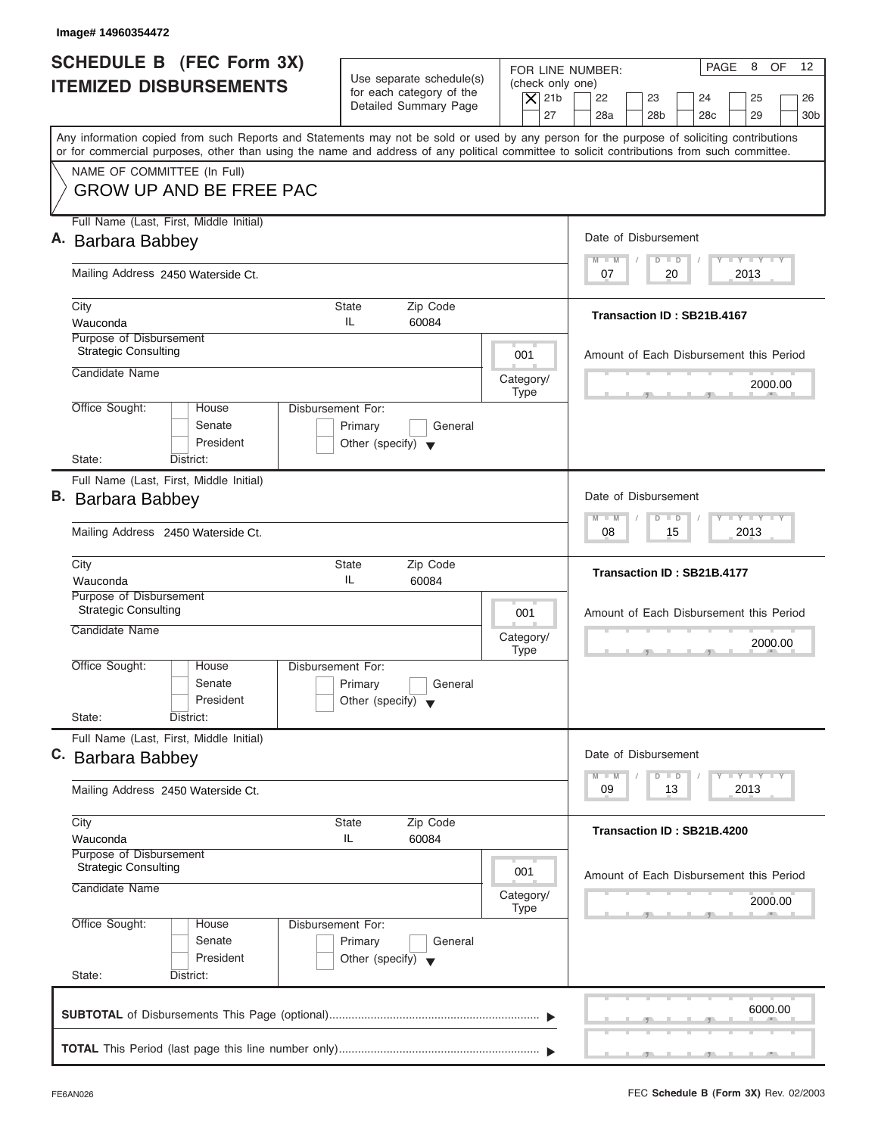| Image# 14960354472                                                    |                                                                                                |                                                                                                                                                                                                                       |
|-----------------------------------------------------------------------|------------------------------------------------------------------------------------------------|-----------------------------------------------------------------------------------------------------------------------------------------------------------------------------------------------------------------------|
| SCHEDULE B (FEC Form 3X)<br><b>ITEMIZED DISBURSEMENTS</b>             | Use separate schedule(s)<br>for each category of the<br>Detailed Summary Page                  | PAGE<br>8<br>OF<br>$12 \overline{ }$<br>FOR LINE NUMBER:<br>(check only one)<br>$ \mathsf{X} $ 21b<br>22<br>23<br>24<br>25<br>26                                                                                      |
|                                                                       |                                                                                                | 27<br>28a<br>28 <sub>b</sub><br>28 <sub>c</sub><br>29<br>30 <sub>b</sub><br>Any information copied from such Reports and Statements may not be sold or used by any person for the purpose of soliciting contributions |
|                                                                       |                                                                                                | or for commercial purposes, other than using the name and address of any political committee to solicit contributions from such committee.                                                                            |
| NAME OF COMMITTEE (In Full)<br><b>GROW UP AND BE FREE PAC</b>         |                                                                                                |                                                                                                                                                                                                                       |
| Full Name (Last, First, Middle Initial)                               |                                                                                                |                                                                                                                                                                                                                       |
| A. Barbara Babbey                                                     |                                                                                                | Date of Disbursement<br>$T - Y = T - Y = T - Y$<br>$M - M$<br>$D$ $D$                                                                                                                                                 |
| Mailing Address 2450 Waterside Ct.                                    |                                                                                                | 20<br>2013<br>07                                                                                                                                                                                                      |
| City                                                                  | <b>State</b><br>Zip Code<br>IL                                                                 | Transaction ID: SB21B.4167                                                                                                                                                                                            |
| Wauconda<br>Purpose of Disbursement                                   | 60084                                                                                          |                                                                                                                                                                                                                       |
| <b>Strategic Consulting</b>                                           | 001                                                                                            | Amount of Each Disbursement this Period                                                                                                                                                                               |
| Candidate Name                                                        | Category/                                                                                      | 2000.00                                                                                                                                                                                                               |
| Office Sought:<br>House<br>Senate<br>President                        | <b>Type</b><br>Disbursement For:<br>Primary<br>General<br>Other (specify) $\blacktriangledown$ |                                                                                                                                                                                                                       |
| State:<br>District:                                                   |                                                                                                |                                                                                                                                                                                                                       |
| Full Name (Last, First, Middle Initial)<br>B. Barbara Babbey          |                                                                                                | Date of Disbursement                                                                                                                                                                                                  |
| Mailing Address 2450 Waterside Ct.                                    | $-1 - Y - 1 - Y - 1 - Y$<br>$M - M$<br>$\Box$<br>$\overline{D}$<br>2013<br>08<br>15            |                                                                                                                                                                                                                       |
| City<br>Wauconda                                                      | Zip Code<br><b>State</b><br>IL<br>60084                                                        | Transaction ID: SB21B.4177                                                                                                                                                                                            |
| Purpose of Disbursement<br>Strategic Consulting                       | 001                                                                                            | Amount of Each Disbursement this Period                                                                                                                                                                               |
| Candidate Name                                                        | Category/<br><b>Type</b>                                                                       | 2000.00<br>$\sim$                                                                                                                                                                                                     |
| Office Sought:<br>House<br>Senate<br>President<br>State:<br>District: | Disbursement For:<br>Primary<br>General<br>Other (specify) $\blacktriangledown$                |                                                                                                                                                                                                                       |
| Full Name (Last, First, Middle Initial)                               |                                                                                                |                                                                                                                                                                                                                       |
| C. Barbara Babbey                                                     |                                                                                                | Date of Disbursement<br>$T - Y$ $T - Y$<br>$M - M$<br>D<br>$\Box$                                                                                                                                                     |
| Mailing Address 2450 Waterside Ct.                                    |                                                                                                | 2013<br>09<br>13                                                                                                                                                                                                      |
| City<br>Wauconda                                                      | Zip Code<br><b>State</b><br>IL<br>60084                                                        | Transaction ID: SB21B.4200                                                                                                                                                                                            |
| Purpose of Disbursement<br><b>Strategic Consulting</b>                | 001                                                                                            | Amount of Each Disbursement this Period                                                                                                                                                                               |
| Candidate Name                                                        | Category/<br><b>Type</b>                                                                       | 2000.00                                                                                                                                                                                                               |
| Office Sought:<br>House<br>Senate<br>President<br>State:<br>District: | Disbursement For:<br>Primary<br>General<br>Other (specify) $\blacktriangledown$                |                                                                                                                                                                                                                       |
|                                                                       |                                                                                                | 6000.00                                                                                                                                                                                                               |
|                                                                       |                                                                                                |                                                                                                                                                                                                                       |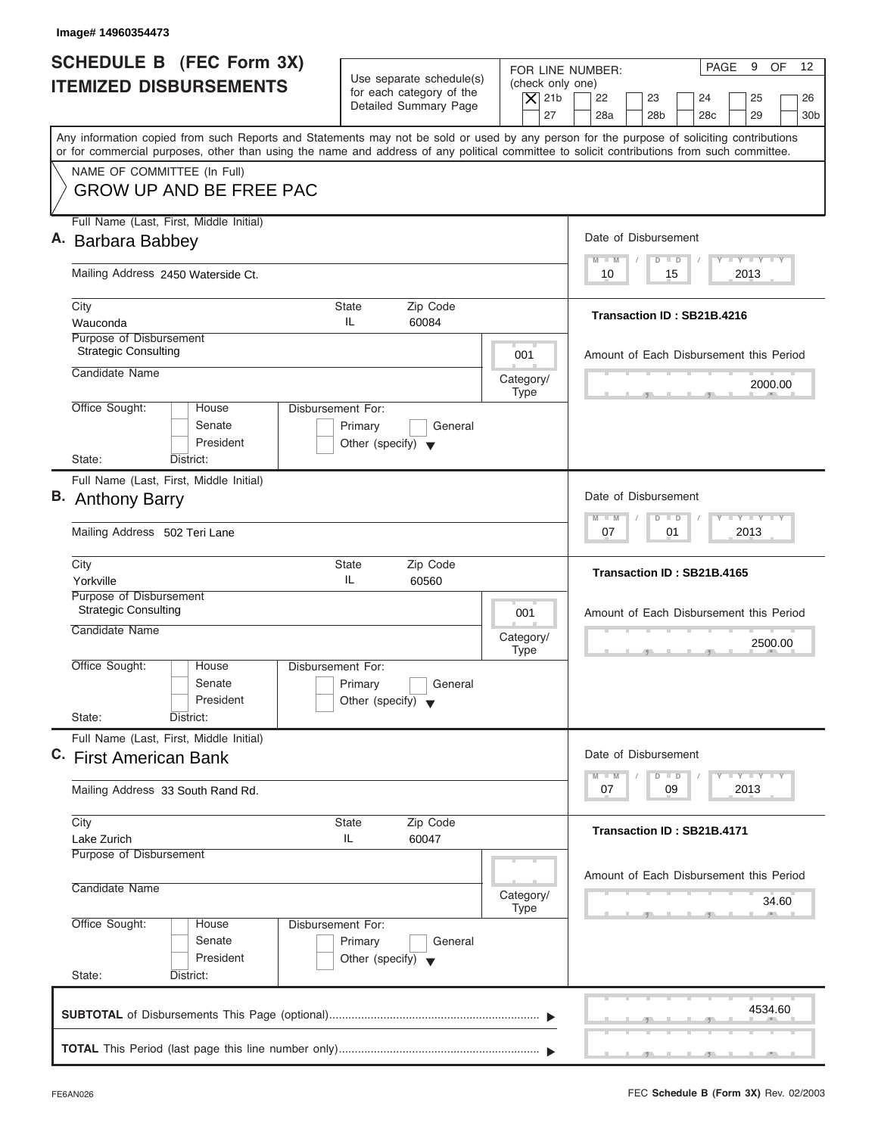| Image# 14960354473                                                                                                                                                                                                                                                                      |                                                                                                                         |                                                                                                                                                                                                     |
|-----------------------------------------------------------------------------------------------------------------------------------------------------------------------------------------------------------------------------------------------------------------------------------------|-------------------------------------------------------------------------------------------------------------------------|-----------------------------------------------------------------------------------------------------------------------------------------------------------------------------------------------------|
| SCHEDULE B (FEC Form 3X)<br><b>ITEMIZED DISBURSEMENTS</b>                                                                                                                                                                                                                               | Use separate schedule(s)<br>(check only one)<br>for each category of the<br>$\overline{X}$ 21b<br>Detailed Summary Page | PAGE<br>9<br><b>OF</b><br>$12 \overline{ }$<br>FOR LINE NUMBER:<br>22<br>23<br>24<br>25<br>26                                                                                                       |
| Any information copied from such Reports and Statements may not be sold or used by any person for the purpose of soliciting contributions<br>or for commercial purposes, other than using the name and address of any political committee to solicit contributions from such committee. | 27                                                                                                                      | 28a<br>28 <sub>b</sub><br>28 <sub>c</sub><br>29<br>30 <sub>b</sub>                                                                                                                                  |
| NAME OF COMMITTEE (In Full)<br><b>GROW UP AND BE FREE PAC</b>                                                                                                                                                                                                                           |                                                                                                                         |                                                                                                                                                                                                     |
| Full Name (Last, First, Middle Initial)<br>A. Barbara Babbey                                                                                                                                                                                                                            |                                                                                                                         | Date of Disbursement                                                                                                                                                                                |
| Mailing Address 2450 Waterside Ct.                                                                                                                                                                                                                                                      |                                                                                                                         | $T - Y = T - Y = T - Y$<br>$M - M$<br>$D$ $D$<br>2013<br>10<br>15                                                                                                                                   |
| City<br>Wauconda                                                                                                                                                                                                                                                                        | <b>State</b><br>Zip Code<br>IL.<br>60084                                                                                | Transaction ID: SB21B.4216                                                                                                                                                                          |
| Purpose of Disbursement<br><b>Strategic Consulting</b><br>Candidate Name                                                                                                                                                                                                                | 001                                                                                                                     | Amount of Each Disbursement this Period                                                                                                                                                             |
| Office Sought:<br>House                                                                                                                                                                                                                                                                 | Category/<br><b>Type</b><br>Disbursement For:                                                                           | 2000.00                                                                                                                                                                                             |
| Senate<br>President<br>State:<br>District:                                                                                                                                                                                                                                              | Primary<br>General<br>Other (specify) $\blacktriangledown$                                                              |                                                                                                                                                                                                     |
| Full Name (Last, First, Middle Initial)                                                                                                                                                                                                                                                 |                                                                                                                         |                                                                                                                                                                                                     |
| <b>B.</b> Anthony Barry                                                                                                                                                                                                                                                                 |                                                                                                                         | Date of Disbursement<br>$-1 - Y - 1 - Y - 1 - Y$<br>$M - M$<br>$D$ $D$                                                                                                                              |
| Mailing Address 502 Teri Lane                                                                                                                                                                                                                                                           |                                                                                                                         | 2013<br>07<br>01                                                                                                                                                                                    |
| City<br>Yorkville                                                                                                                                                                                                                                                                       | Zip Code<br><b>State</b><br>IL.<br>60560                                                                                | Transaction ID: SB21B.4165                                                                                                                                                                          |
| Purpose of Disbursement<br><b>Strategic Consulting</b><br>Candidate Name                                                                                                                                                                                                                | 001                                                                                                                     | Amount of Each Disbursement this Period                                                                                                                                                             |
|                                                                                                                                                                                                                                                                                         | Category/<br><b>Type</b>                                                                                                | 2500.00<br>$-7$<br>$\sim$                                                                                                                                                                           |
| Office Sought:<br>House<br>Senate<br>President                                                                                                                                                                                                                                          | Disbursement For:<br>Primary<br>General<br>Other (specify) $\blacktriangledown$                                         |                                                                                                                                                                                                     |
| State:<br>District:                                                                                                                                                                                                                                                                     |                                                                                                                         |                                                                                                                                                                                                     |
| Full Name (Last, First, Middle Initial)<br>C. First American Bank                                                                                                                                                                                                                       |                                                                                                                         | Date of Disbursement<br>$\begin{array}{c c c c c c} \hline \textbf{I} & \textbf{Y} & \textbf{I} & \textbf{Y} & \textbf{I} & \textbf{Y} \\\hline \end{array}$<br>$M - M$<br>$\overline{D}$<br>$\Box$ |
| Mailing Address 33 South Rand Rd.                                                                                                                                                                                                                                                       | 2013<br>07<br>09                                                                                                        |                                                                                                                                                                                                     |
| City<br>Lake Zurich<br>Purpose of Disbursement                                                                                                                                                                                                                                          | Zip Code<br><b>State</b><br>IL<br>60047                                                                                 | Transaction ID: SB21B.4171                                                                                                                                                                          |
| Candidate Name                                                                                                                                                                                                                                                                          | Category/<br><b>Type</b>                                                                                                | Amount of Each Disbursement this Period<br>34.60                                                                                                                                                    |
| Office Sought:<br>House<br>Senate<br>President                                                                                                                                                                                                                                          | Disbursement For:<br>Primary<br>General<br>Other (specify) $\blacktriangledown$                                         |                                                                                                                                                                                                     |
| State:<br>District:                                                                                                                                                                                                                                                                     |                                                                                                                         |                                                                                                                                                                                                     |
|                                                                                                                                                                                                                                                                                         |                                                                                                                         | 4534.60                                                                                                                                                                                             |
|                                                                                                                                                                                                                                                                                         |                                                                                                                         |                                                                                                                                                                                                     |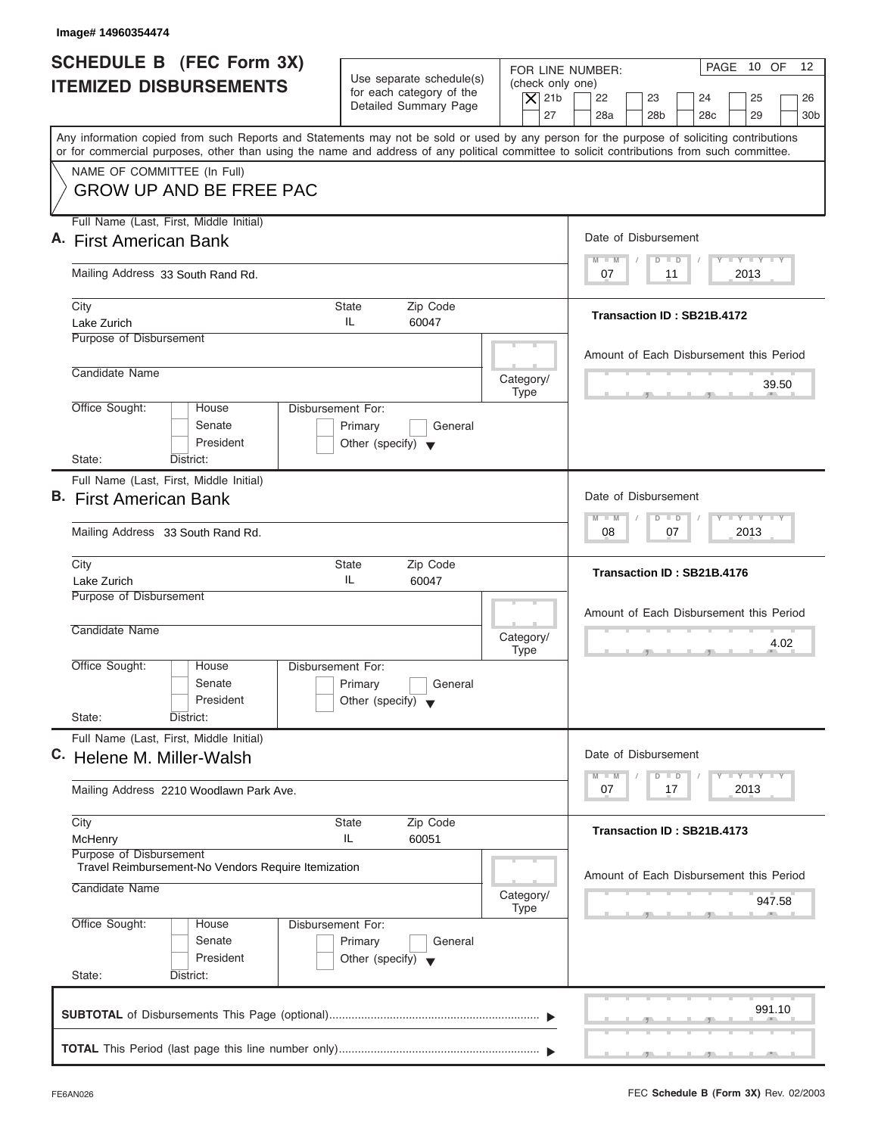| <b>SCHEDULE B (FEC Form 3X)</b><br>FOR LINE NUMBER:<br>Use separate schedule(s)<br>(check only one)<br><b>ITEMIZED DISBURSEMENTS</b><br>for each category of the<br>$ \mathsf{X} $ 21b<br>22<br>23<br>24<br>Detailed Summary Page<br>27<br>28a<br>28 <sub>b</sub><br>28 <sub>c</sub><br>Any information copied from such Reports and Statements may not be sold or used by any person for the purpose of soliciting contributions<br>or for commercial purposes, other than using the name and address of any political committee to solicit contributions from such committee.<br>NAME OF COMMITTEE (In Full)<br><b>GROW UP AND BE FREE PAC</b><br>Full Name (Last, First, Middle Initial)<br>Date of Disbursement<br>$M - M$<br>$D$ $D$<br>Mailing Address 33 South Rand Rd.<br>07<br>11<br>City<br><b>State</b><br>Zip Code<br>Transaction ID: SB21B.4172<br>IL.<br>Lake Zurich<br>60047<br>Purpose of Disbursement<br>Amount of Each Disbursement this Period<br>Candidate Name<br>Category/<br><b>Type</b><br>Office Sought:<br>Disbursement For:<br>House<br>Senate<br>Primary<br>General<br>President<br>Other (specify) $\blacktriangledown$<br>State:<br>District:<br>Full Name (Last, First, Middle Initial)<br>Date of Disbursement<br>$M - M$<br>$D$ $D$<br>07<br>Mailing Address 33 South Rand Rd.<br>08<br>Zip Code<br>City<br><b>State</b><br>Transaction ID: SB21B.4176<br>IL.<br>Lake Zurich<br>60047<br>Purpose of Disbursement<br>Amount of Each Disbursement this Period<br>Candidate Name<br>Category/<br><b>Type</b><br>$7^{\circ}$<br>Office Sought:<br>House<br>Disbursement For:<br>Senate<br>Primary<br>General<br>President<br>Other (specify) $\blacktriangledown$<br>State:<br>District:<br>Full Name (Last, First, Middle Initial)<br>Date of Disbursement | PAGE 10 OF<br>12 <sup>°</sup><br>25<br>26<br>29<br>30 <sub>b</sub><br>$T - Y = T - Y = T - Y$<br>2013 |
|------------------------------------------------------------------------------------------------------------------------------------------------------------------------------------------------------------------------------------------------------------------------------------------------------------------------------------------------------------------------------------------------------------------------------------------------------------------------------------------------------------------------------------------------------------------------------------------------------------------------------------------------------------------------------------------------------------------------------------------------------------------------------------------------------------------------------------------------------------------------------------------------------------------------------------------------------------------------------------------------------------------------------------------------------------------------------------------------------------------------------------------------------------------------------------------------------------------------------------------------------------------------------------------------------------------------------------------------------------------------------------------------------------------------------------------------------------------------------------------------------------------------------------------------------------------------------------------------------------------------------------------------------------------------------------------------------------------------------------------------------------------------------------------|-------------------------------------------------------------------------------------------------------|
| A. First American Bank<br><b>B.</b> First American Bank<br>C. Helene M. Miller-Walsh                                                                                                                                                                                                                                                                                                                                                                                                                                                                                                                                                                                                                                                                                                                                                                                                                                                                                                                                                                                                                                                                                                                                                                                                                                                                                                                                                                                                                                                                                                                                                                                                                                                                                                     |                                                                                                       |
|                                                                                                                                                                                                                                                                                                                                                                                                                                                                                                                                                                                                                                                                                                                                                                                                                                                                                                                                                                                                                                                                                                                                                                                                                                                                                                                                                                                                                                                                                                                                                                                                                                                                                                                                                                                          |                                                                                                       |
|                                                                                                                                                                                                                                                                                                                                                                                                                                                                                                                                                                                                                                                                                                                                                                                                                                                                                                                                                                                                                                                                                                                                                                                                                                                                                                                                                                                                                                                                                                                                                                                                                                                                                                                                                                                          |                                                                                                       |
|                                                                                                                                                                                                                                                                                                                                                                                                                                                                                                                                                                                                                                                                                                                                                                                                                                                                                                                                                                                                                                                                                                                                                                                                                                                                                                                                                                                                                                                                                                                                                                                                                                                                                                                                                                                          |                                                                                                       |
|                                                                                                                                                                                                                                                                                                                                                                                                                                                                                                                                                                                                                                                                                                                                                                                                                                                                                                                                                                                                                                                                                                                                                                                                                                                                                                                                                                                                                                                                                                                                                                                                                                                                                                                                                                                          |                                                                                                       |
|                                                                                                                                                                                                                                                                                                                                                                                                                                                                                                                                                                                                                                                                                                                                                                                                                                                                                                                                                                                                                                                                                                                                                                                                                                                                                                                                                                                                                                                                                                                                                                                                                                                                                                                                                                                          |                                                                                                       |
|                                                                                                                                                                                                                                                                                                                                                                                                                                                                                                                                                                                                                                                                                                                                                                                                                                                                                                                                                                                                                                                                                                                                                                                                                                                                                                                                                                                                                                                                                                                                                                                                                                                                                                                                                                                          | 39.50                                                                                                 |
|                                                                                                                                                                                                                                                                                                                                                                                                                                                                                                                                                                                                                                                                                                                                                                                                                                                                                                                                                                                                                                                                                                                                                                                                                                                                                                                                                                                                                                                                                                                                                                                                                                                                                                                                                                                          |                                                                                                       |
|                                                                                                                                                                                                                                                                                                                                                                                                                                                                                                                                                                                                                                                                                                                                                                                                                                                                                                                                                                                                                                                                                                                                                                                                                                                                                                                                                                                                                                                                                                                                                                                                                                                                                                                                                                                          | $-1 - Y - 1 - Y - 1 - Y$                                                                              |
|                                                                                                                                                                                                                                                                                                                                                                                                                                                                                                                                                                                                                                                                                                                                                                                                                                                                                                                                                                                                                                                                                                                                                                                                                                                                                                                                                                                                                                                                                                                                                                                                                                                                                                                                                                                          | 2013                                                                                                  |
|                                                                                                                                                                                                                                                                                                                                                                                                                                                                                                                                                                                                                                                                                                                                                                                                                                                                                                                                                                                                                                                                                                                                                                                                                                                                                                                                                                                                                                                                                                                                                                                                                                                                                                                                                                                          |                                                                                                       |
|                                                                                                                                                                                                                                                                                                                                                                                                                                                                                                                                                                                                                                                                                                                                                                                                                                                                                                                                                                                                                                                                                                                                                                                                                                                                                                                                                                                                                                                                                                                                                                                                                                                                                                                                                                                          | 4.02                                                                                                  |
|                                                                                                                                                                                                                                                                                                                                                                                                                                                                                                                                                                                                                                                                                                                                                                                                                                                                                                                                                                                                                                                                                                                                                                                                                                                                                                                                                                                                                                                                                                                                                                                                                                                                                                                                                                                          |                                                                                                       |
|                                                                                                                                                                                                                                                                                                                                                                                                                                                                                                                                                                                                                                                                                                                                                                                                                                                                                                                                                                                                                                                                                                                                                                                                                                                                                                                                                                                                                                                                                                                                                                                                                                                                                                                                                                                          |                                                                                                       |
| $M - M$<br>$\overline{D}$<br>$\Box$<br>07<br>17<br>Mailing Address 2210 Woodlawn Park Ave.                                                                                                                                                                                                                                                                                                                                                                                                                                                                                                                                                                                                                                                                                                                                                                                                                                                                                                                                                                                                                                                                                                                                                                                                                                                                                                                                                                                                                                                                                                                                                                                                                                                                                               | $T - Y$ $T - Y$ $T - Y$<br>2013                                                                       |
| Zip Code<br>City<br><b>State</b><br>Transaction ID: SB21B.4173<br>IL<br>60051<br>McHenry<br>Purpose of Disbursement                                                                                                                                                                                                                                                                                                                                                                                                                                                                                                                                                                                                                                                                                                                                                                                                                                                                                                                                                                                                                                                                                                                                                                                                                                                                                                                                                                                                                                                                                                                                                                                                                                                                      |                                                                                                       |
| Travel Reimbursement-No Vendors Require Itemization<br>Amount of Each Disbursement this Period<br>Candidate Name<br>Category/<br><b>Type</b>                                                                                                                                                                                                                                                                                                                                                                                                                                                                                                                                                                                                                                                                                                                                                                                                                                                                                                                                                                                                                                                                                                                                                                                                                                                                                                                                                                                                                                                                                                                                                                                                                                             |                                                                                                       |
| Office Sought:<br>Disbursement For:<br>House<br>Senate<br>Primary<br>General<br>President<br>Other (specify) $\blacktriangledown$<br>State:<br>District:                                                                                                                                                                                                                                                                                                                                                                                                                                                                                                                                                                                                                                                                                                                                                                                                                                                                                                                                                                                                                                                                                                                                                                                                                                                                                                                                                                                                                                                                                                                                                                                                                                 | 947.58                                                                                                |
|                                                                                                                                                                                                                                                                                                                                                                                                                                                                                                                                                                                                                                                                                                                                                                                                                                                                                                                                                                                                                                                                                                                                                                                                                                                                                                                                                                                                                                                                                                                                                                                                                                                                                                                                                                                          |                                                                                                       |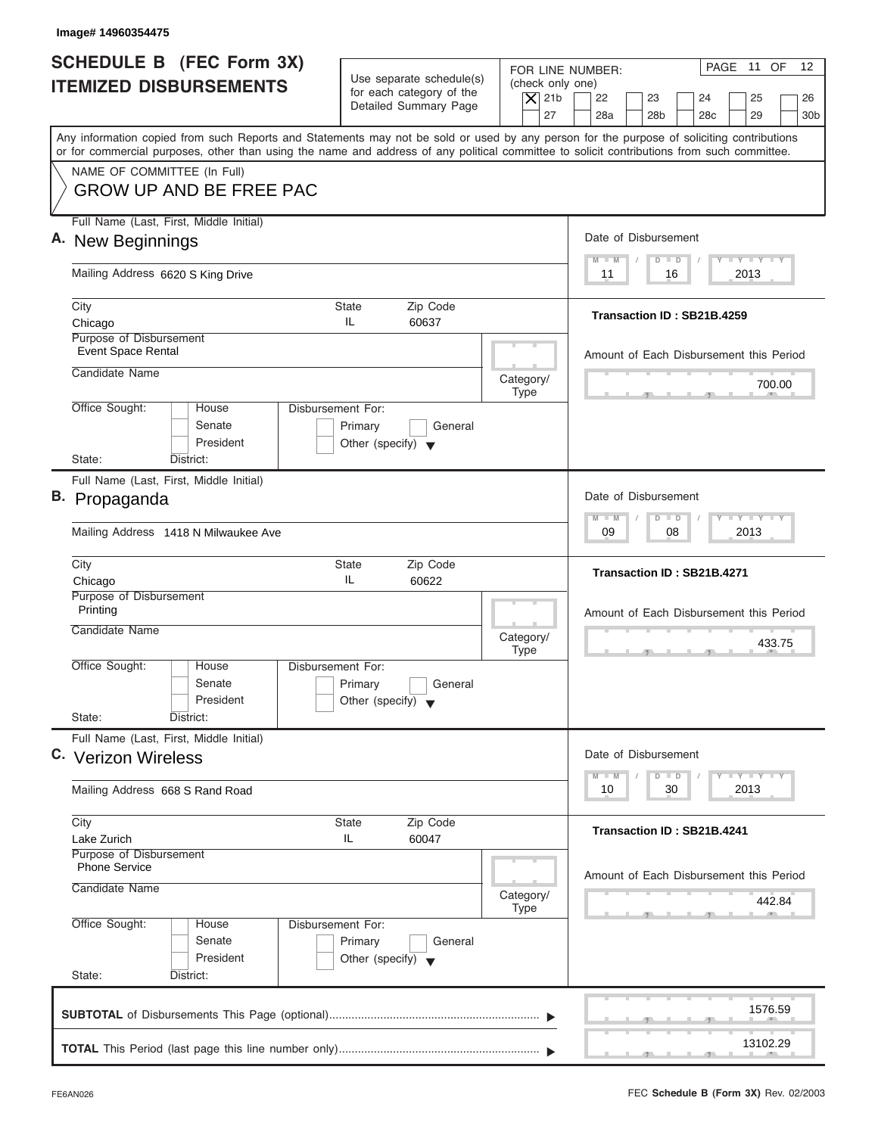| Image# 14960354475                                                                                                                                                                                                                                                                      |                                                                                                                         |                                                                                                                                                                                               |
|-----------------------------------------------------------------------------------------------------------------------------------------------------------------------------------------------------------------------------------------------------------------------------------------|-------------------------------------------------------------------------------------------------------------------------|-----------------------------------------------------------------------------------------------------------------------------------------------------------------------------------------------|
| SCHEDULE B (FEC Form 3X)<br><b>ITEMIZED DISBURSEMENTS</b>                                                                                                                                                                                                                               | Use separate schedule(s)<br>(check only one)<br>for each category of the<br>$\overline{X}$ 21b<br>Detailed Summary Page | PAGE 11 OF<br>$12 \overline{ }$<br>FOR LINE NUMBER:<br>22<br>23<br>24<br>25<br>26                                                                                                             |
| Any information copied from such Reports and Statements may not be sold or used by any person for the purpose of soliciting contributions<br>or for commercial purposes, other than using the name and address of any political committee to solicit contributions from such committee. | 27                                                                                                                      | 28a<br>28 <sub>b</sub><br>28 <sub>c</sub><br>29<br>30 <sub>b</sub>                                                                                                                            |
| NAME OF COMMITTEE (In Full)<br><b>GROW UP AND BE FREE PAC</b>                                                                                                                                                                                                                           |                                                                                                                         |                                                                                                                                                                                               |
| Full Name (Last, First, Middle Initial)<br>A. New Beginnings                                                                                                                                                                                                                            | Date of Disbursement                                                                                                    |                                                                                                                                                                                               |
| Mailing Address 6620 S King Drive                                                                                                                                                                                                                                                       |                                                                                                                         | $T - Y = T - Y = T - Y$<br>$M - M$<br>$D$ $D$<br>2013<br>11<br>16                                                                                                                             |
| City<br>Chicago                                                                                                                                                                                                                                                                         | <b>State</b><br>Zip Code<br>IL.<br>60637                                                                                | Transaction ID: SB21B.4259                                                                                                                                                                    |
| Purpose of Disbursement<br>Event Space Rental<br>Candidate Name                                                                                                                                                                                                                         |                                                                                                                         | Amount of Each Disbursement this Period                                                                                                                                                       |
| Office Sought:<br>House                                                                                                                                                                                                                                                                 | Category/<br><b>Type</b><br>Disbursement For:                                                                           | 700.00                                                                                                                                                                                        |
| Senate<br>President<br>State:<br>District:                                                                                                                                                                                                                                              | Primary<br>General<br>Other (specify) $\blacktriangledown$                                                              |                                                                                                                                                                                               |
| Full Name (Last, First, Middle Initial)<br>B. Propaganda                                                                                                                                                                                                                                |                                                                                                                         | Date of Disbursement<br>$-1 - Y - 1 - Y - 1 - Y$<br>$M - M$<br>$D$ $D$                                                                                                                        |
| Mailing Address 1418 N Milwaukee Ave                                                                                                                                                                                                                                                    |                                                                                                                         | 08<br>2013<br>09                                                                                                                                                                              |
| City<br>Chicago                                                                                                                                                                                                                                                                         | Zip Code<br><b>State</b><br>IL.<br>60622                                                                                | Transaction ID: SB21B.4271                                                                                                                                                                    |
| Purpose of Disbursement<br>Printing<br>Candidate Name                                                                                                                                                                                                                                   | Category/<br><b>Type</b>                                                                                                | Amount of Each Disbursement this Period<br>433.75                                                                                                                                             |
| Office Sought:<br>House<br>Senate<br>President<br>State:<br>District:                                                                                                                                                                                                                   | Disbursement For:<br>Primary<br>General<br>Other (specify) $\blacktriangledown$                                         | __                                                                                                                                                                                            |
| Full Name (Last, First, Middle Initial)<br>C. Verizon Wireless                                                                                                                                                                                                                          |                                                                                                                         | Date of Disbursement                                                                                                                                                                          |
| Mailing Address 668 S Rand Road                                                                                                                                                                                                                                                         |                                                                                                                         | $\begin{array}{c c c c c} \hline \textbf{I} & \textbf{Y} & \textbf{I} & \textbf{Y} & \textbf{I} & \textbf{Y} \\\hline \end{array}$<br>$M - M$<br>$\overline{D}$<br>$\Box$<br>2013<br>10<br>30 |
| City<br>Lake Zurich                                                                                                                                                                                                                                                                     | Zip Code<br><b>State</b><br>60047<br>IL                                                                                 | Transaction ID: SB21B.4241                                                                                                                                                                    |
| Purpose of Disbursement<br><b>Phone Service</b><br>Candidate Name                                                                                                                                                                                                                       | Category/<br><b>Type</b>                                                                                                | Amount of Each Disbursement this Period<br>442.84                                                                                                                                             |
| Office Sought:<br>House<br>Senate<br>President<br>State:<br>District:                                                                                                                                                                                                                   | Disbursement For:<br>Primary<br>General<br>Other (specify) $\blacktriangledown$                                         |                                                                                                                                                                                               |
|                                                                                                                                                                                                                                                                                         |                                                                                                                         | 1576.59                                                                                                                                                                                       |
|                                                                                                                                                                                                                                                                                         |                                                                                                                         | 13102.29                                                                                                                                                                                      |